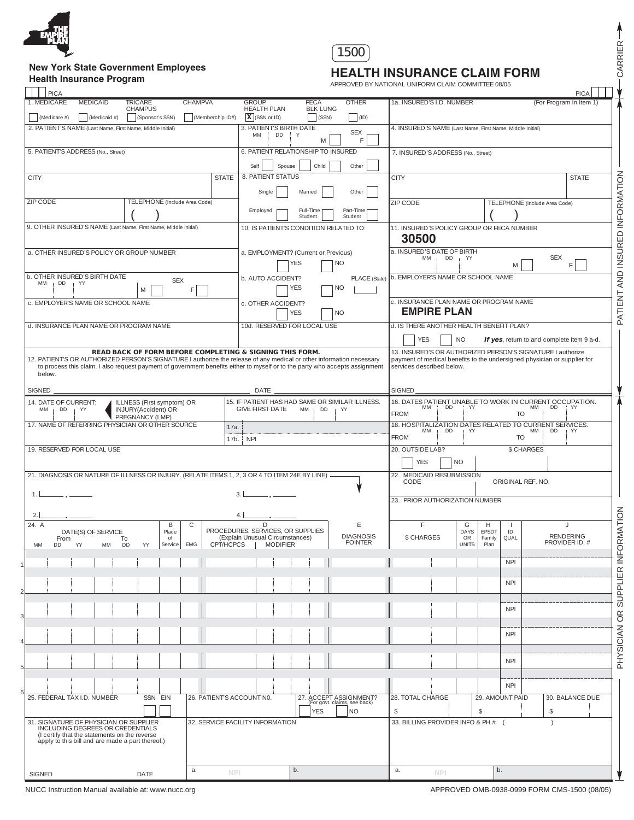

# **New York State Government Employees**

## 1500

**Health Insurance Program Health Insurance Program Health Insurance Program APPROVED BY NATIONAL UNIFORM CLAIM COMMITTEE 08/05** 

| PICA                                                                                                                                   |                                                   |                  |                                                                                 |                                                        |                                                                                                    |                                                                                                                                        | PICA         |  |
|----------------------------------------------------------------------------------------------------------------------------------------|---------------------------------------------------|------------------|---------------------------------------------------------------------------------|--------------------------------------------------------|----------------------------------------------------------------------------------------------------|----------------------------------------------------------------------------------------------------------------------------------------|--------------|--|
| 1. MEDICARE<br><b>MEDICAID</b>                                                                                                         | <b>TRICARE</b><br><b>CHAMPUS</b>                  | CHAMPVA          | <b>GROUP</b><br><b>HEALTH PLAN</b>                                              | <b>OTHER</b><br>FECA<br><b>BLK LUNG</b>                | 1a. INSURED'S I.D. NUMBER                                                                          | (For Program In Item 1)                                                                                                                |              |  |
| (Medicaid $#$ )<br>(Medicare #)<br>2. PATIENT'S NAME (Last Name, First Name, Middle Initial)                                           | (Sponsor's SSN)                                   | (Memberchip ID#) | $X$ (SSN or ID)<br>3. PATIENT'S BIRTH DATE                                      | (SSN)<br>(1D)                                          | 4. INSURED'S NAME (Last Name, First Name, Middle Initial)                                          |                                                                                                                                        |              |  |
|                                                                                                                                        |                                                   |                  | DD<br>MM<br>įΥ                                                                  | <b>SEX</b><br>F<br>M                                   |                                                                                                    |                                                                                                                                        |              |  |
| 5. PATIENT'S ADDRESS (No., Street)                                                                                                     |                                                   |                  | 6. PATIENT RELATIONSHIP TO INSURED                                              |                                                        | 7. INSURED'S ADDRESS (No., Street)                                                                 |                                                                                                                                        |              |  |
| <b>CITY</b>                                                                                                                            |                                                   | <b>STATE</b>     | Self<br>Spouse<br>8. PATIENT STATUS                                             | Child<br>Other                                         | <b>CITY</b>                                                                                        |                                                                                                                                        | <b>STATE</b> |  |
|                                                                                                                                        |                                                   |                  | Single<br>Married                                                               | Other                                                  |                                                                                                    |                                                                                                                                        |              |  |
| ZIP CODE                                                                                                                               | TELEPHONE (Include Area Code)                     |                  |                                                                                 |                                                        | ZIP CODE                                                                                           | TELEPHONE (Include Area Code)                                                                                                          |              |  |
|                                                                                                                                        |                                                   |                  | Employed<br>Student                                                             | Part-Time<br>Full-Time<br>Student                      |                                                                                                    |                                                                                                                                        |              |  |
| 9. OTHER INSURED'S NAME (Last Name, First Name, Middle Initial)                                                                        |                                                   |                  | 10. IS PATIENT'S CONDITION RELATED TO:                                          |                                                        | 11. INSURED'S POLICY GROUP OR FECA NUMBER<br>30500                                                 |                                                                                                                                        |              |  |
| a. OTHER INSURED'S POLICY OR GROUP NUMBER                                                                                              |                                                   |                  | a. EMPLOYMENT? (Current or Previous)                                            |                                                        | a. INSURED'S DATE OF BIRTH                                                                         |                                                                                                                                        |              |  |
|                                                                                                                                        |                                                   |                  | YES                                                                             | <b>NO</b>                                              | MM<br>DD.<br>: YY                                                                                  | <b>SEX</b><br>F                                                                                                                        |              |  |
| b. OTHER INSURED'S BIRTH DATE<br>MM<br>DD.<br>: YY                                                                                     | <b>SEX</b>                                        |                  | b. AUTO ACCIDENT?                                                               | PLACE (State)                                          | b. EMPLOYER'S NAME OR SCHOOL NAME                                                                  |                                                                                                                                        |              |  |
|                                                                                                                                        | M                                                 | F                | YES                                                                             | <b>NO</b>                                              |                                                                                                    |                                                                                                                                        |              |  |
| c. EMPLOYER'S NAME OR SCHOOL NAME                                                                                                      |                                                   |                  | c. OTHER ACCIDENT?<br><b>YES</b>                                                | <b>NO</b>                                              | c. INSURANCE PLAN NAME OR PROGRAM NAME<br><b>EMPIRE PLAN</b>                                       |                                                                                                                                        |              |  |
| d. INSURANCE PLAN NAME OR PROGRAM NAME                                                                                                 |                                                   |                  | 10d. RESERVED FOR LOCAL USE                                                     |                                                        | d. IS THERE ANOTHER HEALTH BENEFIT PLAN?                                                           |                                                                                                                                        |              |  |
|                                                                                                                                        |                                                   |                  |                                                                                 |                                                        | <b>YES</b><br><b>NO</b>                                                                            | If yes, return to and complete item 9 a-d.                                                                                             |              |  |
| 12. PATIENT'S OR AUTHORIZED PERSON'S SIGNATURE I authorize the release of any medical or other information necessary                   |                                                   |                  | <b>READ BACK OF FORM BEFORE COMPLETING &amp; SIGNING THIS FORM.</b>             |                                                        |                                                                                                    | 13. INSURED'S OR AUTHORIZED PERSON'S SIGNATURE I authorize<br>payment of medical benefits to the undersigned physician or supplier for |              |  |
| to process this claim. I also request payment of government benefits either to myself or to the party who accepts assignment<br>below. |                                                   |                  |                                                                                 |                                                        | services described below.                                                                          |                                                                                                                                        |              |  |
| SIGNED_                                                                                                                                |                                                   |                  | $DATE$ $-$                                                                      |                                                        | SIGNED.                                                                                            |                                                                                                                                        |              |  |
| 14. DATE OF CURRENT:<br>$MM$ ; $DD$ ; $YY$                                                                                             | ILLNESS (First symptom) OR<br>INJURY(Accident) OR |                  | 15. IF PATIENT HAS HAD SAME OR SIMILAR ILLNESS.<br><b>GIVE FIRST DATE</b><br>MM | DD<br>YY                                               | 16. DATES PATIENT UNABLE TO WORK IN CURRENT OCCUPATION.<br>DD<br>MM   DD   YY<br><b>MM</b><br>i YY |                                                                                                                                        |              |  |
| 17. NAME OF REFERRING PHYSICIAN OR OTHER SOURCE                                                                                        | PREGNANCY (LMP)                                   |                  |                                                                                 |                                                        | <b>FROM</b>                                                                                        | TO<br>18. HOSPITALIZATION DATES RELATED TO CURRENT SERVICES.                                                                           |              |  |
|                                                                                                                                        |                                                   | 17a.<br>17b.     | <b>NPI</b>                                                                      |                                                        | DD.<br><b>MM</b><br>YY.<br><b>FROM</b>                                                             | $MM$ ; DD<br>$+YY$<br><b>TO</b>                                                                                                        |              |  |
| 19. RESERVED FOR LOCAL USE                                                                                                             |                                                   |                  |                                                                                 |                                                        | 20. OUTSIDE LAB?                                                                                   | \$ CHARGES                                                                                                                             |              |  |
|                                                                                                                                        |                                                   |                  |                                                                                 |                                                        | <b>YES</b><br>NO.                                                                                  |                                                                                                                                        |              |  |
| 21. DIAGNOSIS OR NATURE OF ILLNESS OR INJURY. (RELATE ITEMS 1, 2, 3 OR 4 TO ITEM 24E BY LINE)                                          |                                                   |                  |                                                                                 |                                                        | 22. MEDICAID RESUBMISSION<br>CODE<br>ORIGINAL REF. NO.                                             |                                                                                                                                        |              |  |
| 1.1<br>$\overline{\phantom{a}}$ , $\overline{\phantom{a}}$                                                                             |                                                   |                  | $\overline{3}$<br><u>and the common</u>                                         |                                                        | 23. PRIOR AUTHORIZATION NUMBER                                                                     |                                                                                                                                        |              |  |
| 2.1                                                                                                                                    |                                                   |                  | 4.1                                                                             |                                                        |                                                                                                    |                                                                                                                                        |              |  |
| 24. A<br>DATE(S) OF SERVICE                                                                                                            | B<br>Place                                        | C                | PROCEDURES, SERVICES, OR SUPPLIES                                               | Ε                                                      | G<br>F.<br>DAYS                                                                                    | H<br>$\cdot$<br>- 1<br><b>EPSDT</b><br>$\mathsf{ID}$                                                                                   |              |  |
| From<br>MM<br>DD<br>YY<br>MM                                                                                                           | of<br>To<br>Service<br>DD<br>YY                   | EMG<br>CPT/HCPCS | (Explain Unusual Circumstances)<br><b>MODIFIER</b>                              | <b>DIAGNOSIS</b><br><b>POINTER</b>                     | \$ CHARGES<br>OR<br><b>UNITS</b>                                                                   | <b>RENDERING</b><br>QUAL<br>Family<br>PROVIDER ID. #<br>Plan                                                                           |              |  |
|                                                                                                                                        |                                                   |                  |                                                                                 |                                                        |                                                                                                    | <b>NPI</b>                                                                                                                             |              |  |
|                                                                                                                                        |                                                   |                  |                                                                                 |                                                        |                                                                                                    |                                                                                                                                        |              |  |
|                                                                                                                                        |                                                   |                  |                                                                                 |                                                        |                                                                                                    | <b>NPI</b>                                                                                                                             |              |  |
|                                                                                                                                        |                                                   |                  |                                                                                 |                                                        |                                                                                                    | <b>NPI</b>                                                                                                                             |              |  |
|                                                                                                                                        |                                                   |                  |                                                                                 |                                                        |                                                                                                    |                                                                                                                                        |              |  |
|                                                                                                                                        |                                                   |                  |                                                                                 |                                                        |                                                                                                    | <b>NPI</b>                                                                                                                             |              |  |
|                                                                                                                                        |                                                   |                  |                                                                                 |                                                        |                                                                                                    |                                                                                                                                        |              |  |
|                                                                                                                                        |                                                   |                  |                                                                                 |                                                        |                                                                                                    | <b>NPI</b>                                                                                                                             |              |  |
|                                                                                                                                        |                                                   |                  |                                                                                 |                                                        |                                                                                                    | <b>NPI</b>                                                                                                                             |              |  |
| 25. FEDERAL TAX I.D. NUMBER<br>SSN EIN<br>26. PATIENT'S ACCOUNT NO.                                                                    |                                                   |                  |                                                                                 | 27. ACCEPT ASSIGNMENT?<br>(For govt. claims, see back) | 28. TOTAL CHARGE                                                                                   | 29. AMOUNT PAID<br>30. BALANCE DUE                                                                                                     |              |  |
| 31. SIGNATURE OF PHYSICIAN OR SUPPLIER                                                                                                 |                                                   |                  | <b>YES</b><br>NO)<br>32. SERVICE FACILITY INFORMATION                           |                                                        | <sup>\$</sup><br>33. BILLING PROVIDER INFO & PH # (                                                | \$<br>\$                                                                                                                               |              |  |
| INCLUDING DEGREES OR CREDENTIALS<br>(I certify that the statements on the reverse                                                      |                                                   |                  |                                                                                 |                                                        |                                                                                                    |                                                                                                                                        |              |  |
| apply to this bill and are made a part thereof.)                                                                                       |                                                   |                  |                                                                                 |                                                        |                                                                                                    |                                                                                                                                        |              |  |
|                                                                                                                                        |                                                   |                  |                                                                                 |                                                        |                                                                                                    |                                                                                                                                        |              |  |
|                                                                                                                                        |                                                   | a.               | b.                                                                              |                                                        | a.                                                                                                 | b.                                                                                                                                     |              |  |

NUCC Instruction Manual available at: www.nucc.org <br>
APPROVED OMB-0938-0999 FORM CMS-1500 (08/05)